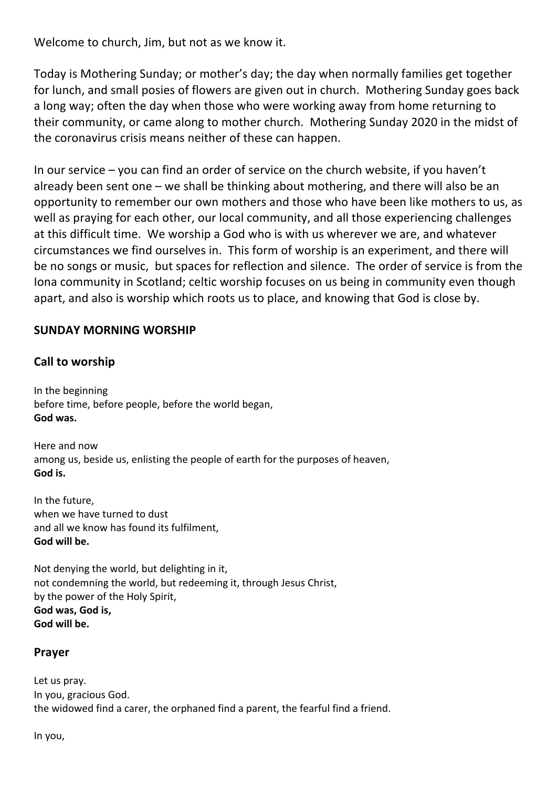Welcome to church, Jim, but not as we know it.

Today is Mothering Sunday; or mother's day; the day when normally families get together for lunch, and small posies of flowers are given out in church. Mothering Sunday goes back a long way; often the day when those who were working away from home returning to their community, or came along to mother church. Mothering Sunday 2020 in the midst of the coronavirus crisis means neither of these can happen.

In our service – you can find an order of service on the church website, if you haven't already been sent one – we shall be thinking about mothering, and there will also be an opportunity to remember our own mothers and those who have been like mothers to us, as well as praying for each other, our local community, and all those experiencing challenges at this difficult time. We worship a God who is with us wherever we are, and whatever circumstances we find ourselves in. This form of worship is an experiment, and there will be no songs or music, but spaces for reflection and silence. The order of service is from the Iona community in Scotland; celtic worship focuses on us being in community even though apart, and also is worship which roots us to place, and knowing that God is close by.

## **SUNDAY MORNING WORSHIP**

## **Call to worship**

In the beginning before time, before people, before the world began, **God was.**

Here and now among us, beside us, enlisting the people of earth for the purposes of heaven, **God is.**

In the future, when we have turned to dust and all we know has found its fulfilment, **God will be.**

Not denying the world, but delighting in it, not condemning the world, but redeeming it, through Jesus Christ, by the power of the Holy Spirit, **God was, God is, God will be.**

### **Prayer**

Let us pray. In you, gracious God. the widowed find a carer, the orphaned find a parent, the fearful find a friend.

In you,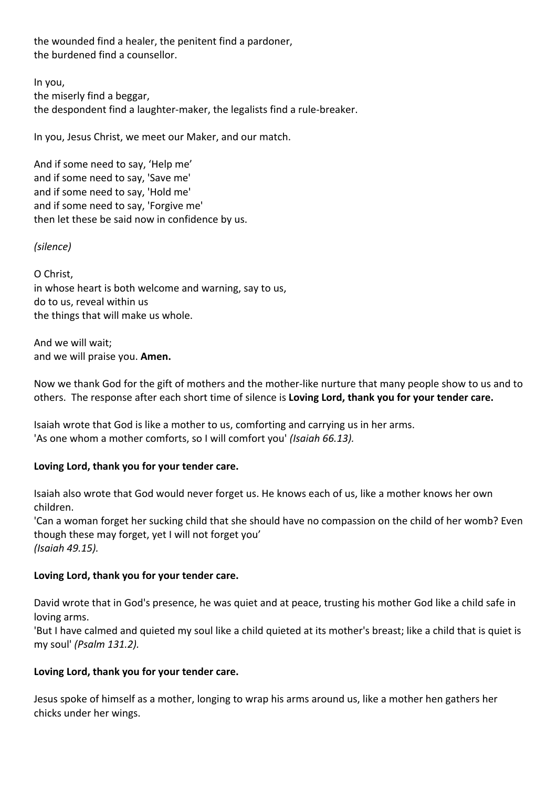the wounded find a healer, the penitent find a pardoner, the burdened find a counsellor.

In you, the miserly find a beggar, the despondent find a laughter-maker, the legalists find a rule-breaker.

In you, Jesus Christ, we meet our Maker, and our match.

And if some need to say, 'Help me' and if some need to say, 'Save me' and if some need to say, 'Hold me' and if some need to say, 'Forgive me' then let these be said now in confidence by us.

#### *(silence)*

O Christ, in whose heart is both welcome and warning, say to us, do to us, reveal within us the things that will make us whole.

And we will wait; and we will praise you. **Amen.**

Now we thank God for the gift of mothers and the mother-like nurture that many people show to us and to others. The response after each short time of silence is **Loving Lord, thank you for your tender care.**

Isaiah wrote that God is like a mother to us, comforting and carrying us in her arms. 'As one whom a mother comforts, so I will comfort you' *(Isaiah 66.13).*

#### **Loving Lord, thank you for your tender care.**

Isaiah also wrote that God would never forget us. He knows each of us, like a mother knows her own children.

'Can a woman forget her sucking child that she should have no compassion on the child of her womb? Even though these may forget, yet I will not forget you' *(Isaiah 49.15).*

#### **Loving Lord, thank you for your tender care.**

David wrote that in God's presence, he was quiet and at peace, trusting his mother God like a child safe in loving arms.

'But I have calmed and quieted my soul like a child quieted at its mother's breast; like a child that is quiet is my soul' *(Psalm 131.2).*

#### **Loving Lord, thank you for your tender care.**

Jesus spoke of himself as a mother, longing to wrap his arms around us, like a mother hen gathers her chicks under her wings.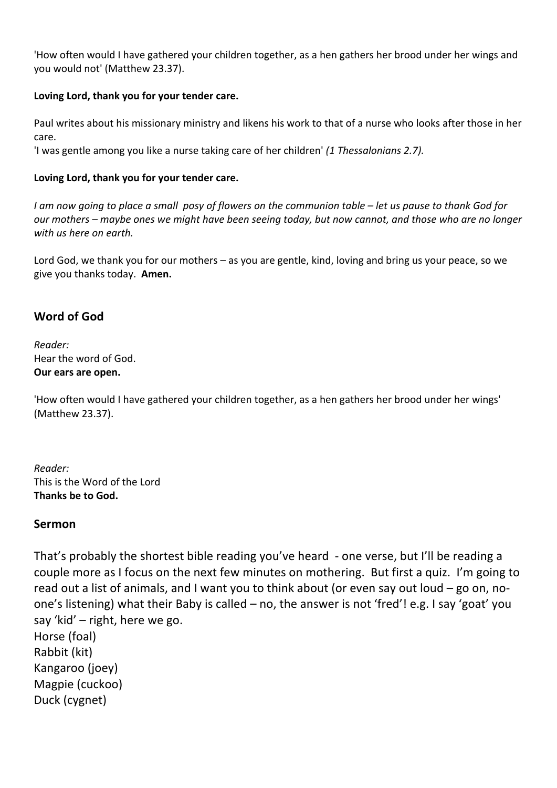'How often would I have gathered your children together, as a hen gathers her brood under her wings and you would not' (Matthew 23.37).

### **Loving Lord, thank you for your tender care.**

Paul writes about his missionary ministry and likens his work to that of a nurse who looks after those in her care.

'I was gentle among you like a nurse taking care of her children' *(1 Thessalonians 2.7).*

### **Loving Lord, thank you for your tender care.**

*I am now going to place a small posy of flowers on the communion table – let us pause to thank God for our mothers – maybe ones we might have been seeing today, but now cannot, and those who are no longer with us here on earth.*

Lord God, we thank you for our mothers – as you are gentle, kind, loving and bring us your peace, so we give you thanks today. **Amen.**

## **Word of God**

*Reader:* Hear the word of God. **Our ears are open.**

'How often would I have gathered your children together, as a hen gathers her brood under her wings' (Matthew 23.37).

*Reader:* This is the Word of the Lord **Thanks be to God.**

### **Sermon**

That's probably the shortest bible reading you've heard - one verse, but I'll be reading a couple more as I focus on the next few minutes on mothering. But first a quiz. I'm going to read out a list of animals, and I want you to think about (or even say out loud – go on, noone's listening) what their Baby is called – no, the answer is not 'fred'! e.g. I say 'goat' you say 'kid' – right, here we go. Horse (foal) Rabbit (kit) Kangaroo (joey) Magpie (cuckoo) Duck (cygnet)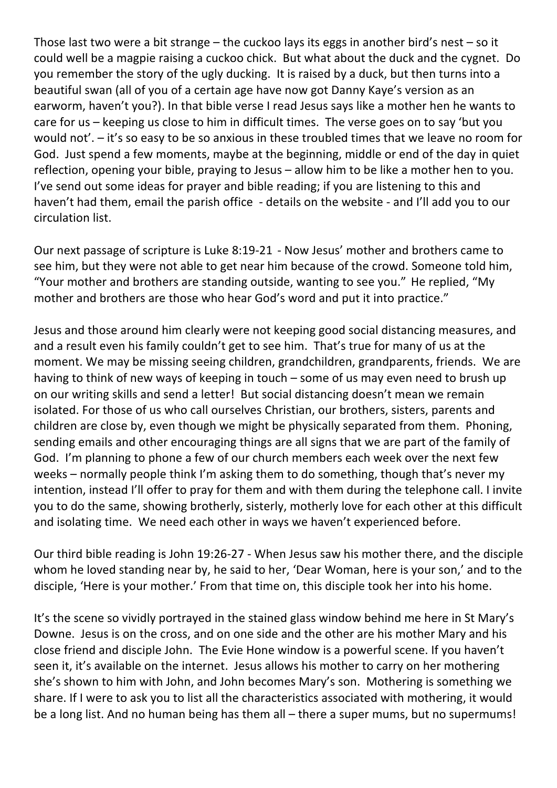Those last two were a bit strange – the cuckoo lays its eggs in another bird's nest – so it could well be a magpie raising a cuckoo chick. But what about the duck and the cygnet. Do you remember the story of the ugly ducking. It is raised by a duck, but then turns into a beautiful swan (all of you of a certain age have now got Danny Kaye's version as an earworm, haven't you?). In that bible verse I read Jesus says like a mother hen he wants to care for us – keeping us close to him in difficult times. The verse goes on to say 'but you would not'. – it's so easy to be so anxious in these troubled times that we leave no room for God. Just spend a few moments, maybe at the beginning, middle or end of the day in quiet reflection, opening your bible, praying to Jesus – allow him to be like a mother hen to you. I've send out some ideas for prayer and bible reading; if you are listening to this and haven't had them, email the parish office - details on the website - and I'll add you to our circulation list.

Our next passage of scripture is Luke 8:19-21 - Now Jesus' mother and brothers came to see him, but they were not able to get near him because of the crowd. Someone told him, "Your mother and brothers are standing outside, wanting to see you." He replied, "My mother and brothers are those who hear God's word and put it into practice."

Jesus and those around him clearly were not keeping good social distancing measures, and and a result even his family couldn't get to see him. That's true for many of us at the moment. We may be missing seeing children, grandchildren, grandparents, friends. We are having to think of new ways of keeping in touch – some of us may even need to brush up on our writing skills and send a letter! But social distancing doesn't mean we remain isolated. For those of us who call ourselves Christian, our brothers, sisters, parents and children are close by, even though we might be physically separated from them. Phoning, sending emails and other encouraging things are all signs that we are part of the family of God. I'm planning to phone a few of our church members each week over the next few weeks – normally people think I'm asking them to do something, though that's never my intention, instead I'll offer to pray for them and with them during the telephone call. I invite you to do the same, showing brotherly, sisterly, motherly love for each other at this difficult and isolating time. We need each other in ways we haven't experienced before.

Our third bible reading is John 19:26-27 - When Jesus saw his mother there, and the disciple whom he loved standing near by, he said to her, 'Dear Woman, here is your son,' and to the disciple, 'Here is your mother.' From that time on, this disciple took her into his home.

It's the scene so vividly portrayed in the stained glass window behind me here in St Mary's Downe. Jesus is on the cross, and on one side and the other are his mother Mary and his close friend and disciple John. The Evie Hone window is a powerful scene. If you haven't seen it, it's available on the internet. Jesus allows his mother to carry on her mothering she's shown to him with John, and John becomes Mary's son. Mothering is something we share. If I were to ask you to list all the characteristics associated with mothering, it would be a long list. And no human being has them all – there a super mums, but no supermums!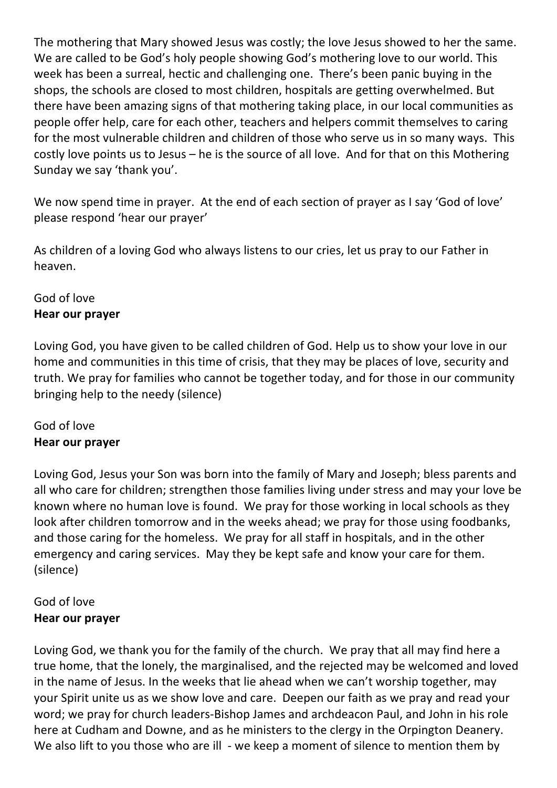The mothering that Mary showed Jesus was costly; the love Jesus showed to her the same. We are called to be God's holy people showing God's mothering love to our world. This week has been a surreal, hectic and challenging one. There's been panic buying in the shops, the schools are closed to most children, hospitals are getting overwhelmed. But there have been amazing signs of that mothering taking place, in our local communities as people offer help, care for each other, teachers and helpers commit themselves to caring for the most vulnerable children and children of those who serve us in so many ways. This costly love points us to Jesus – he is the source of all love. And for that on this Mothering Sunday we say 'thank you'.

We now spend time in prayer. At the end of each section of prayer as I say 'God of love' please respond 'hear our prayer'

As children of a loving God who always listens to our cries, let us pray to our Father in heaven.

# God of love **Hear our prayer**

Loving God, you have given to be called children of God. Help us to show your love in our home and communities in this time of crisis, that they may be places of love, security and truth. We pray for families who cannot be together today, and for those in our community bringing help to the needy (silence)

# God of love **Hear our prayer**

Loving God, Jesus your Son was born into the family of Mary and Joseph; bless parents and all who care for children; strengthen those families living under stress and may your love be known where no human love is found. We pray for those working in local schools as they look after children tomorrow and in the weeks ahead; we pray for those using foodbanks, and those caring for the homeless. We pray for all staff in hospitals, and in the other emergency and caring services. May they be kept safe and know your care for them. (silence)

# God of love **Hear our prayer**

Loving God, we thank you for the family of the church. We pray that all may find here a true home, that the lonely, the marginalised, and the rejected may be welcomed and loved in the name of Jesus. In the weeks that lie ahead when we can't worship together, may your Spirit unite us as we show love and care. Deepen our faith as we pray and read your word; we pray for church leaders-Bishop James and archdeacon Paul, and John in his role here at Cudham and Downe, and as he ministers to the clergy in the Orpington Deanery. We also lift to you those who are ill - we keep a moment of silence to mention them by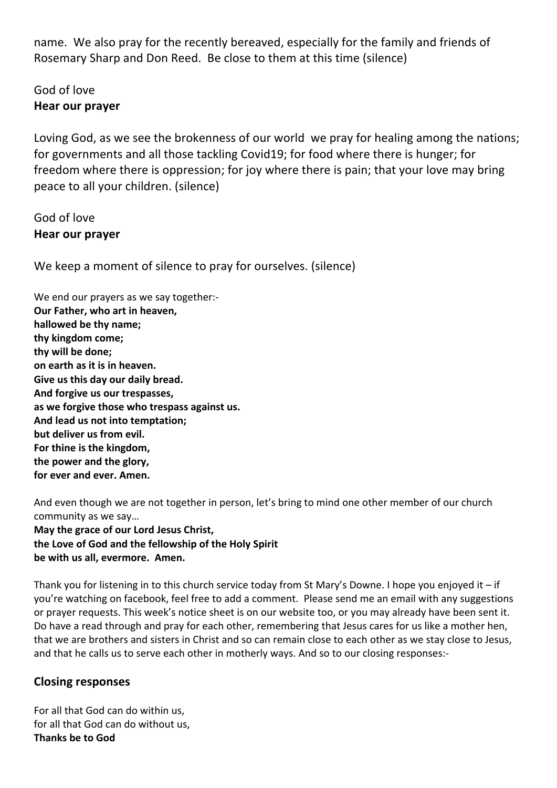name. We also pray for the recently bereaved, especially for the family and friends of Rosemary Sharp and Don Reed. Be close to them at this time (silence)

# God of love **Hear our prayer**

Loving God, as we see the brokenness of our world we pray for healing among the nations; for governments and all those tackling Covid19; for food where there is hunger; for freedom where there is oppression; for joy where there is pain; that your love may bring peace to all your children. (silence)

# God of love **Hear our prayer**

We keep a moment of silence to pray for ourselves. (silence)

We end our prayers as we say together:-**Our Father, who art in heaven, hallowed be thy name; thy kingdom come; thy will be done; on earth as it is in heaven. Give us this day our daily bread. And forgive us our trespasses, as we forgive those who trespass against us. And lead us not into temptation; but deliver us from evil. For thine is the kingdom, the power and the glory, for ever and ever. Amen.**

And even though we are not together in person, let's bring to mind one other member of our church community as we say… **May the grace of our Lord Jesus Christ, the Love of God and the fellowship of the Holy Spirit be with us all, evermore. Amen.**

Thank you for listening in to this church service today from St Mary's Downe. I hope you enjoyed it – if you're watching on facebook, feel free to add a comment. Please send me an email with any suggestions or prayer requests. This week's notice sheet is on our website too, or you may already have been sent it. Do have a read through and pray for each other, remembering that Jesus cares for us like a mother hen, that we are brothers and sisters in Christ and so can remain close to each other as we stay close to Jesus, and that he calls us to serve each other in motherly ways. And so to our closing responses:-

## **Closing responses**

For all that God can do within us, for all that God can do without us, **Thanks be to God**